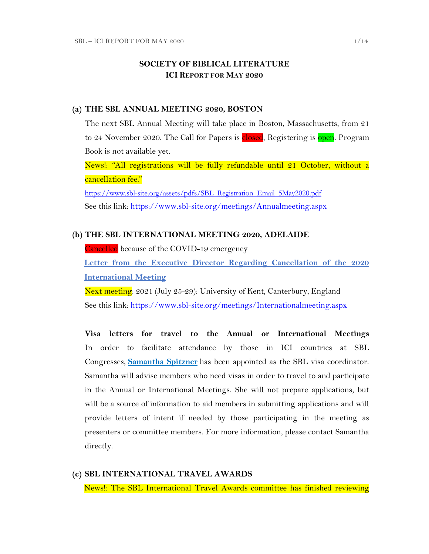## **SOCIETY OF BIBLICAL LITERATURE ICI REPORT FOR MAY 2020**

#### **(a) THE SBL ANNUAL MEETING 2020, BOSTON**

The next SBL Annual Meeting will take place in Boston, Massachusetts, from 21 to 24 November 2020. The Call for Papers is closed, Registering is open. Program Book is not available yet.

News!: "All registrations will be fully refundable until 21 October, without a cancellation fee."

[https://www.sbl-site.org/assets/pdfs/SBL\\_Registration\\_Email\\_5May2020.pdf](https://www.sbl-site.org/assets/pdfs/SBL_Registration_Email_5May2020.pdf) See this link:<https://www.sbl-site.org/meetings/Annualmeeting.aspx>

### **(b) THE SBL INTERNATIONAL MEETING 2020, ADELAIDE**

Cancelled because of the COVID-19 emergency

**[Letter from the Executive Director Regarding Cancellation of the 2020](https://www.sbl-site.org/assets/pdfs/2020_SBL_International_Meeting_Cancelled.pdf)  [International Meeting](https://www.sbl-site.org/assets/pdfs/2020_SBL_International_Meeting_Cancelled.pdf)**

Next meeting: 2021 (July 25-29): University of Kent, Canterbury, England See this link:<https://www.sbl-site.org/meetings/Internationalmeeting.aspx>

**Visa letters for travel to the Annual or International Meetings** In order to facilitate attendance by those in ICI countries at SBL Congresses, **[Samantha Spitzner](mailto:samantha.spitzner@sbl-site.org)** has been appointed as the SBL visa coordinator. Samantha will advise members who need visas in order to travel to and participate in the Annual or International Meetings. She will not prepare applications, but will be a source of information to aid members in submitting applications and will provide letters of intent if needed by those participating in the meeting as presenters or committee members. For more information, please contact Samantha directly.

### **(c) SBL INTERNATIONAL TRAVEL AWARDS**

News!: The SBL International Travel Awards committee has finished reviewing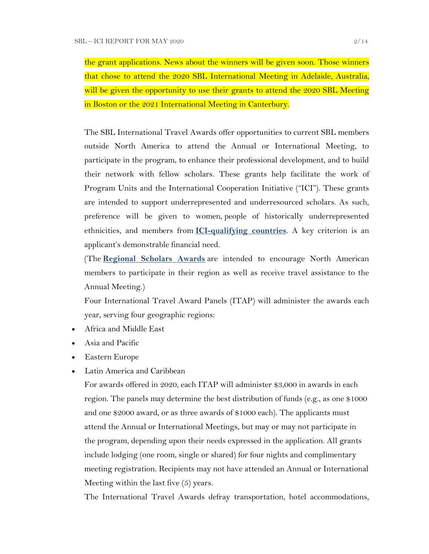the grant applications. News about the winners will be given soon. Those winners that chose to attend the 2020 SBL International Meeting in Adelaide, Australia, will be given the opportunity to use their grants to attend the 2020 SBL Meeting in Boston or the 2021 International Meeting in Canterbury.

The SBL International Travel Awards offer opportunities to current SBL members outside North America to attend the Annual or International Meeting, to participate in the program, to enhance their professional development, and to build their network with fellow scholars. These grants help facilitate the work of Program Units and the International Cooperation Initiative ("ICI"). These grants are intended to support underrepresented and underresourced scholars. As such, preference will be given to women, people of historically underrepresented ethnicities, and members from **[ICI-qualifying countries](https://www.sbl-site.org/assets/pdfs/ICIcountries.pdf)**. A key criterion is an applicant's demonstrable financial need.

(The **[Regional Scholars Awards](https://www.sbl-site.org/meetings/regionalscholars.aspx)** are intended to encourage North American members to participate in their region as well as receive travel assistance to the Annual Meeting.)

Four International Travel Award Panels (ITAP) will administer the awards each year, serving four geographic regions:

- Africa and Middle East
- Asia and Pacific
- Eastern Europe
- Latin America and Caribbean

For awards offered in 2020, each ITAP will administer \$3,000 in awards in each region. The panels may determine the best distribution of funds (e.g., as one \$1000 and one \$2000 award, or as three awards of \$1000 each). The applicants must attend the Annual or International Meetings, but may or may not participate in the program, depending upon their needs expressed in the application. All grants include lodging (one room, single or shared) for four nights and complimentary meeting registration. Recipients may not have attended an Annual or International Meeting within the last five (5) years.

The International Travel Awards defray transportation, hotel accommodations,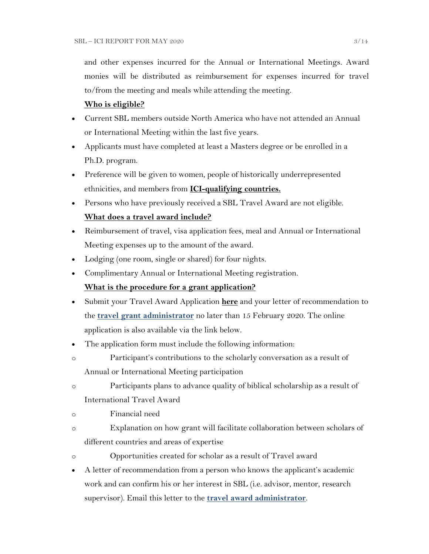and other expenses incurred for the Annual or International Meetings. Award monies will be distributed as reimbursement for expenses incurred for travel to/from the meeting and meals while attending the meeting.

### **Who is eligible?**

- Current SBL members outside North America who have not attended an Annual or International Meeting within the last five years.
- Applicants must have completed at least a Masters degree or be enrolled in a Ph.D. program.
- Preference will be given to women, people of historically underrepresented ethnicities, and members from **[ICI-qualifying countries.](https://www.sbl-site.org/assets/pdfs/ICIcountries.pdf)**
- Persons who have previously received a SBL Travel Award are not eligible. **What does a travel award include?**
- Reimbursement of travel, visa application fees, meal and Annual or International Meeting expenses up to the amount of the award.
- Lodging (one room, single or shared) for four nights.
- Complimentary Annual or International Meeting registration.

## **What is the procedure for a grant application?**

- Submit your Travel Award Application **[here](https://www.surveymonkey.com/r/MWZNX58)** and your letter of recommendation to the **[travel grant administrator](mailto:sbltravelgrant@sbl-site.org)** no later than 15 February 2020. The online application is also available via the link below.
- The application form must include the following information:
- o Participant's contributions to the scholarly conversation as a result of Annual or International Meeting participation
- o Participants plans to advance quality of biblical scholarship as a result of International Travel Award
- o Financial need
- o Explanation on how grant will facilitate collaboration between scholars of different countries and areas of expertise
- o Opportunities created for scholar as a result of Travel award
- A letter of recommendation from a person who knows the applicant's academic work and can confirm his or her interest in SBL (i.e. advisor, mentor, research supervisor). Email this letter to the **[travel award administrator](mailto:sbltravelgrant@sbl-site.org)**.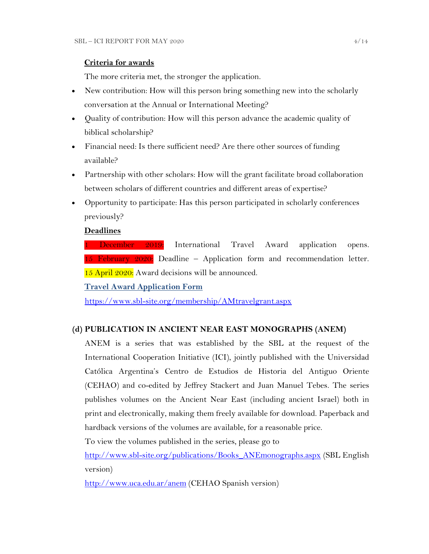## **Criteria for awards**

The more criteria met, the stronger the application.

- New contribution: How will this person bring something new into the scholarly conversation at the Annual or International Meeting?
- Quality of contribution: How will this person advance the academic quality of biblical scholarship?
- Financial need: Is there sufficient need? Are there other sources of funding available?
- Partnership with other scholars: How will the grant facilitate broad collaboration between scholars of different countries and different areas of expertise?
- Opportunity to participate: Has this person participated in scholarly conferences previously?

## **Deadlines**

1 December 2019: International Travel Award application opens. 15 February  $2020$ : Deadline – Application form and recommendation letter. 15 April 2020: Award decisions will be announced.

**Travel [Award Application Form](https://www.surveymonkey.com/r/MWZNX58)**

<https://www.sbl-site.org/membership/AMtravelgrant.aspx>

## **(d) PUBLICATION IN [ANCIENT NEAR EAST MONOGRAPHS](http://www.sbl-site.org/publications/Books_ANEmonographs.aspx) (ANEM)**

ANEM is a series that was established by the SBL at the request of the International Cooperation Initiative (ICI), jointly published with the Universidad Católica Argentina's Centro de Estudios de Historia del Antiguo Oriente (CEHAO) and co-edited by Jeffrey Stackert and Juan Manuel Tebes. The series publishes volumes on the Ancient Near East (including ancient Israel) both in print and electronically, making them freely available for download. Paperback and hardback versions of the volumes are available, for a reasonable price.

To view the volumes published in the series, please go to

[http://www.sbl-site.org/publications/Books\\_ANEmonographs.aspx](http://www.sbl-site.org/publications/Books_ANEmonographs.aspx) (SBL English version)

<http://www.uca.edu.ar/anem> (CEHAO Spanish version)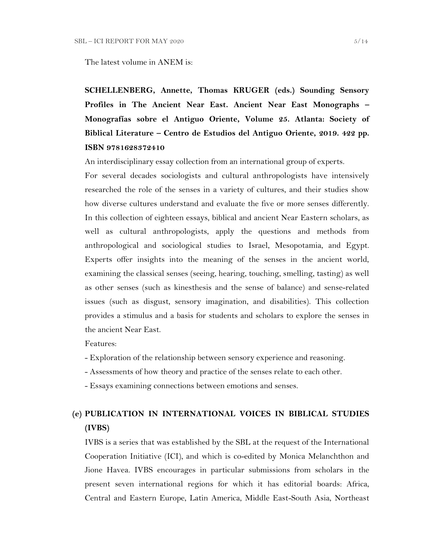The latest volume in ANEM is:

**SCHELLENBERG, Annette, Thomas KRUGER (eds.) Sounding Sensory Profiles in The Ancient Near East. Ancient Near East Monographs – Monografías sobre el Antiguo Oriente, Volume 25. Atlanta: Society of Biblical Literature – Centro de Estudios del Antiguo Oriente, 2019. 422 pp. ISBN 9781628372410**

An interdisciplinary essay collection from an international group of experts.

For several decades sociologists and cultural anthropologists have intensively researched the role of the senses in a variety of cultures, and their studies show how diverse cultures understand and evaluate the five or more senses differently. In this collection of eighteen essays, biblical and ancient Near Eastern scholars, as well as cultural anthropologists, apply the questions and methods from anthropological and sociological studies to Israel, Mesopotamia, and Egypt. Experts offer insights into the meaning of the senses in the ancient world, examining the classical senses (seeing, hearing, touching, smelling, tasting) as well as other senses (such as kinesthesis and the sense of balance) and sense-related issues (such as disgust, sensory imagination, and disabilities). This collection provides a stimulus and a basis for students and scholars to explore the senses in the ancient Near East.

Features:

- Exploration of the relationship between sensory experience and reasoning.
- Assessments of how theory and practice of the senses relate to each other.
- Essays examining connections between emotions and senses.

# **(e) PUBLICATION IN INTERNATIONAL VOICES IN BIBLICAL STUDIES (IVBS)**

IVBS is a series that was established by the SBL at the request of the International Cooperation Initiative (ICI), and which is co-edited by Monica Melanchthon and Jione Havea. IVBS encourages in particular submissions from scholars in the present seven international regions for which it has editorial boards: Africa, Central and Eastern Europe, Latin America, Middle East-South Asia, Northeast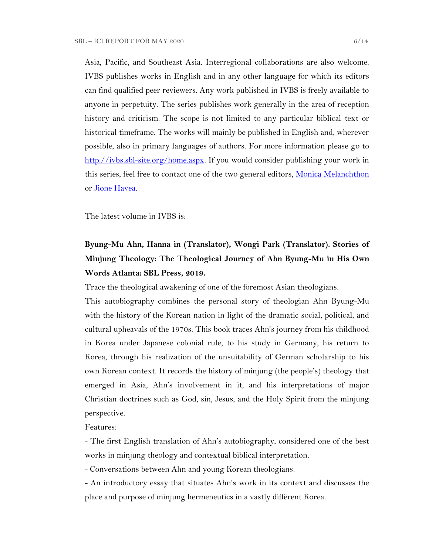Asia, Pacific, and Southeast Asia. Interregional collaborations are also welcome. IVBS publishes works in English and in any other language for which its editors can find qualified peer reviewers. Any work published in IVBS is freely available to anyone in perpetuity. The series publishes work generally in the area of reception history and criticism. The scope is not limited to any particular biblical text or historical timeframe. The works will mainly be published in English and, wherever possible, also in primary languages of authors. For more information please go to [http://ivbs.sbl-site.org/home.aspx.](http://ivbs.sbl-site.org/home.aspx) If you would consider publishing your work in this series, feel free to contact one of the two general editors, [Monica Melanchthon](mailto:ivbs2010@gmail.com) or [Jione Havea.](mailto:jioneh@nsw.uca.org.au)

The latest volume in IVBS is:

# **Byung-Mu Ahn, Hanna in (Translator), Wongi Park (Translator). Stories of Minjung Theology: The Theological Journey of Ahn Byung-Mu in His Own Words Atlanta: SBL Press, 2019.**

Trace the theological awakening of one of the foremost Asian theologians.

This autobiography combines the personal story of theologian Ahn Byung-Mu with the history of the Korean nation in light of the dramatic social, political, and cultural upheavals of the 1970s. This book traces Ahn's journey from his childhood in Korea under Japanese colonial rule, to his study in Germany, his return to Korea, through his realization of the unsuitability of German scholarship to his own Korean context. It records the history of minjung (the people's) theology that emerged in Asia, Ahn's involvement in it, and his interpretations of major Christian doctrines such as God, sin, Jesus, and the Holy Spirit from the minjung perspective.

Features:

- The first English translation of Ahn's autobiography, considered one of the best works in minjung theology and contextual biblical interpretation.

- Conversations between Ahn and young Korean theologians.

- An introductory essay that situates Ahn's work in its context and discusses the place and purpose of minjung hermeneutics in a vastly different Korea.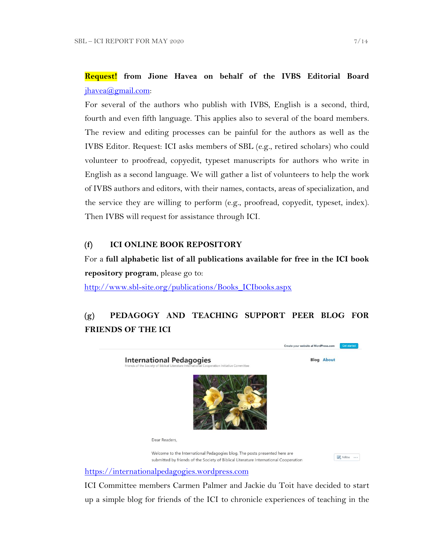# **Request! from Jione Havea on behalf of the IVBS Editorial Board** [jhavea@gmail.com:](mailto:jhavea@gmail.com)

For several of the authors who publish with IVBS, English is a second, third, fourth and even fifth language. This applies also to several of the board members. The review and editing processes can be painful for the authors as well as the IVBS Editor. Request: ICI asks members of SBL (e.g., retired scholars) who could volunteer to proofread, copyedit, typeset manuscripts for authors who write in English as a second language. We will gather a list of volunteers to help the work of IVBS authors and editors, with their names, contacts, areas of specialization, and the service they are willing to perform (e.g., proofread, copyedit, typeset, index). Then IVBS will request for assistance through ICI.

## **(f) ICI ONLINE BOOK REPOSITORY**

For a **full alphabetic list of all publications available for free in the ICI book repository program**, please go to:

[http://www.sbl-site.org/publications/Books\\_ICIbooks.aspx](http://www.sbl-site.org/publications/Books_ICIbooks.aspx)

# **(g) PEDAGOGY AND TEACHING SUPPORT PEER BLOG FOR FRIENDS OF THE ICI**



[https://internationalpedagogies.wordpress.com](https://internationalpedagogies.wordpress.com/)

ICI Committee members Carmen Palmer and Jackie du Toit have decided to start up a simple blog for friends of the ICI to chronicle experiences of teaching in the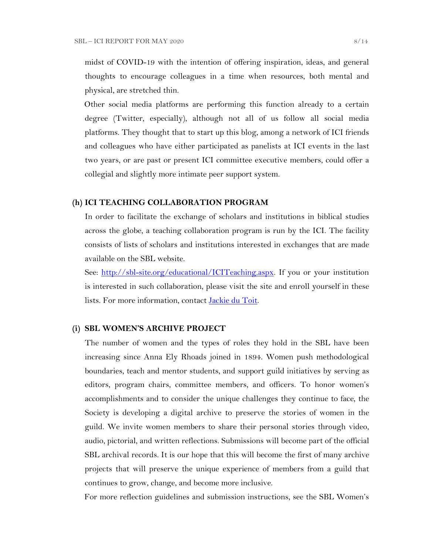midst of COVID-19 with the intention of offering inspiration, ideas, and general thoughts to encourage colleagues in a time when resources, both mental and physical, are stretched thin.

Other social media platforms are performing this function already to a certain degree (Twitter, especially), although not all of us follow all social media platforms. They thought that to start up this blog, among a network of ICI friends and colleagues who have either participated as panelists at ICI events in the last two years, or are past or present ICI committee executive members, could offer a collegial and slightly more intimate peer support system.

### **(h) ICI TEACHING COLLABORATION PROGRAM**

In order to facilitate the exchange of scholars and institutions in biblical studies across the globe, a teaching collaboration program is run by the ICI. The facility consists of lists of scholars and institutions interested in exchanges that are made available on the SBL website.

See: [http://sbl-site.org/educational/ICITeaching.aspx.](http://sbl-site.org/educational/ICITeaching.aspx) If you or your institution is interested in such collaboration, please visit the site and enroll yourself in these lists. For more information, contact [Jackie du Toit.](mailto:dutoitjs@ufs.ac.za)

### **(i) SBL WOMEN'S ARCHIVE PROJECT**

The number of women and the types of roles they hold in the SBL have been increasing since Anna Ely Rhoads joined in 1894. Women push methodological boundaries, teach and mentor students, and support guild initiatives by serving as editors, program chairs, committee members, and officers. To honor women's accomplishments and to consider the unique challenges they continue to face, the Society is developing a digital archive to preserve the stories of women in the guild. We invite women members to share their personal stories through video, audio, pictorial, and written reflections. Submissions will become part of the official SBL archival records. It is our hope that this will become the first of many archive projects that will preserve the unique experience of members from a guild that continues to grow, change, and become more inclusive.

For more reflection guidelines and submission instructions, see the SBL Women's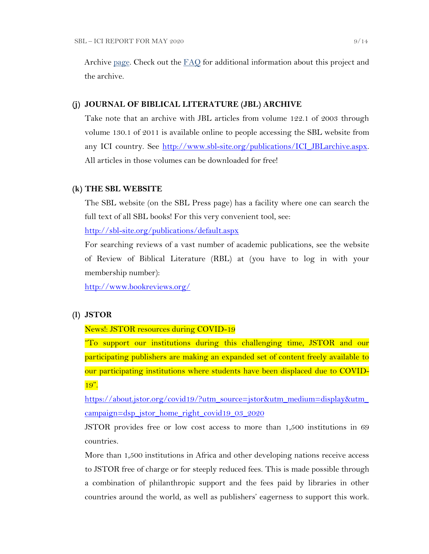Archive [page.](https://nam04.safelinks.protection.outlook.com/?url=http%3A%2F%2Fr20.rs6.net%2Ftn.jsp%3Ff%3D001UxB5SQIuVUKz9COuM3IsPWnWKqoK39z2VG4xqTm8KZlA_ZE17Z7Fa2PmCgTjMMxZJIpcAIjlvUF-irxd2rwYbEMLTrV0K_WM51IpZKkkhMDgd8_9aVPRw3rlId_KW8E944PO6OC3qczzRWSY7H-TuxvuErx13KKirGuJ38oWvop66nka2FiuLpzq0iT-us5e%26c%3DQ2tCZ6oCYeHLWgeasA7YFffpqmCkeEopn2jFFHww1HRSHdGZkow9Cg%3D%3D%26ch%3Dndma_uDxhxPhjRABmkw-gBQiRkfwAotBZK8Ps3z0wu4oDwHg9u9sLg%3D%3D&data=02%7C01%7CWALFORD_ND%40mercer.edu%7Cf513cd74ff8548bede3608d6b5da7f75%7C4fb34d2889b247109bcc30824d17fc30%7C0%7C0%7C636896347381808305&sdata=tiSsidRd6oL6K11UbD%2BSSPY7fRIjvdDnpsEU3BWCZRg%3D&reserved=0) Check out the [FAQ](http://r20.rs6.net/tn.jsp?f=001daD3lBrhj8ZbS8-GLHmkkfCXBAC1VygxiIGaWr04TSwAe6xpaQQvNJKWplVAEpG6TEU1_8KlnBObWx0oZC8x7WoLEp77_1CFtxX0KaAFLBjOBdYTd2f5qgWSoEYDRce9P__OLb1j9qY-AF3VQc1Y44LRzHcBpPqZU-EHsK1QZTJIoW4LFbKk7i8Ng-wzmNHDH6gAjZEh02zQc7Hju5X1UnsIvXFI2f0S&c=eIPPqaSd2_Vy4YClv5OeeUxZS30eJVZ-NpEqtmoT_RO1qkg45kBI_g==&ch=TNoNbOW4OE_N3IXbNrssVzBYer7u1PunhQWZuBYieCMVeDT7hGjUZQ==) for additional information about this project and the archive.

### **(j) JOURNAL OF BIBLICAL LITERATURE (JBL) ARCHIVE**

Take note that an archive with JBL articles from volume 122.1 of 2003 through volume 130.1 of 2011 is available online to people accessing the SBL website from any ICI country. See [http://www.sbl-site.org/publications/ICI\\_JBLarchive.aspx.](http://www.sbl-site.org/publications/ICI_JBLarchive.aspx) All articles in those volumes can be downloaded for free!

### **(k) THE SBL WEBSITE**

The SBL website (on the SBL Press page) has a facility where one can search the full text of all SBL books! For this very convenient tool, see:

<http://sbl-site.org/publications/default.aspx>

For searching reviews of a vast number of academic publications, see the website of Review of Biblical Literature (RBL) at (you have to log in with your membership number):

<http://www.bookreviews.org/>

### **(l) JSTOR**

#### News!: JSTOR resources during COVID-19

"To support our institutions during this challenging time, JSTOR and our participating publishers are making an expanded set of content freely available to our participating institutions where students have been displaced due to COVID-19".

[https://about.jstor.org/covid19/?utm\\_source=jstor&utm\\_medium=display&utm\\_](https://about.jstor.org/covid19/?utm_source=jstor&utm_medium=display&utm_campaign=dsp_jstor_home_right_covid19_03_2020) [campaign=dsp\\_jstor\\_home\\_right\\_covid19\\_03\\_2020](https://about.jstor.org/covid19/?utm_source=jstor&utm_medium=display&utm_campaign=dsp_jstor_home_right_covid19_03_2020)

JSTOR provides free or low cost access to more than 1,500 institutions in 69 countries.

More than 1,500 institutions in Africa and other developing nations receive access to JSTOR free of charge or for steeply reduced fees. This is made possible through a combination of philanthropic support and the fees paid by libraries in other countries around the world, as well as publishers' eagerness to support this work.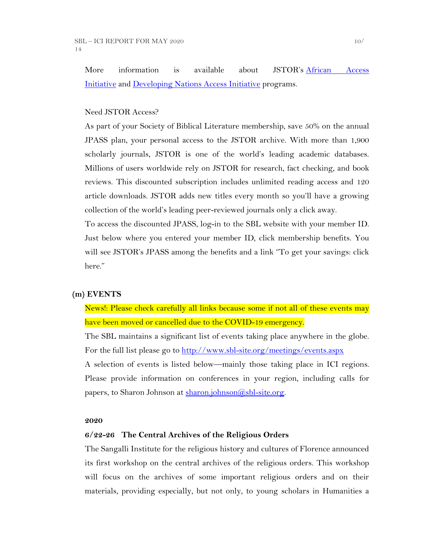More information is available about JSTOR's [African Access](http://about.jstor.org/libraries/african-access-initiative)  [Initiative](http://about.jstor.org/libraries/african-access-initiative) and [Developing Nations Access Initiative](http://about.jstor.org/libraries/developing-nations-access-initiative) programs.

## Need JSTOR Access?

As part of your Society of Biblical Literature membership, save 50% on the annual JPASS plan, your personal access to the JSTOR archive. With more than 1,900 scholarly journals, JSTOR is one of the world's leading academic databases. Millions of users worldwide rely on JSTOR for research, fact checking, and book reviews. This discounted subscription includes unlimited reading access and 120 article downloads. JSTOR adds new titles every month so you'll have a growing collection of the world's leading peer-reviewed journals only a click away.

To access the discounted JPASS, log-in to the SBL website with your member ID. Just below where you entered your member ID, click membership benefits. You will see JSTOR's JPASS among the benefits and a link "To get your savings: click here."

### **(m) EVENTS**

News!: Please check carefully all links because some if not all of these events may have been moved or cancelled due to the COVID-19 emergency.

The SBL maintains a significant list of events taking place anywhere in the globe. For the full list please go to<http://www.sbl-site.org/meetings/events.aspx> A selection of events is listed below—mainly those taking place in ICI regions. Please provide information on conferences in your region, including calls for

papers, to Sharon Johnson at [sharon.johnson@sbl-site.org.](mailto:sharon.johnson@sbl-site.org)

#### **2020**

### **6/22-26 The Central Archives of the Religious Orders**

The Sangalli Institute for the religious history and cultures of Florence announced its first workshop on the central archives of the religious orders. This workshop will focus on the archives of some important religious orders and on their materials, providing especially, but not only, to young scholars in Humanities a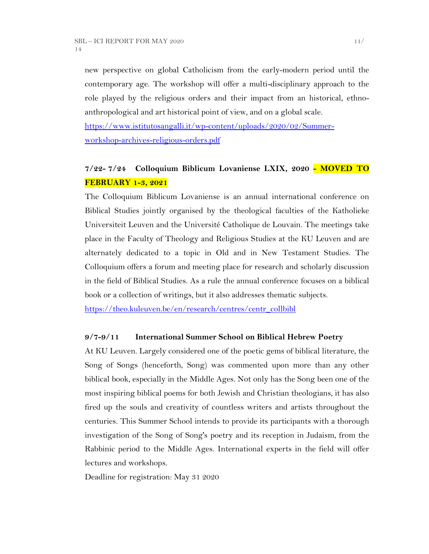new perspective on global Catholicism from the early-modern period until the contemporary age. The workshop will offer a multi-disciplinary approach to the role played by the religious orders and their impact from an historical, ethnoanthropological and art historical point of view, and on a global scale.

[https://www.istitutosangalli.it/wp-content/uploads/2020/02/Summer](https://www.istitutosangalli.it/wp-content/uploads/2020/02/Summer-workshop-archives-religious-orders.pdf)[workshop-archives-religious-orders.pdf](https://www.istitutosangalli.it/wp-content/uploads/2020/02/Summer-workshop-archives-religious-orders.pdf)

# **7/22- 7/24 Colloquium Biblicum Lovaniense LXIX, 2020 - MOVED TO FEBRUARY 1-3, 2021**

The Colloquium Biblicum Lovaniense is an annual international conference on Biblical Studies jointly organised by the theological faculties of the Katholieke Universiteit Leuven and the Université Catholique de Louvain. The meetings take place in the Faculty of Theology and Religious Studies at the KU Leuven and are alternately dedicated to a topic in Old and in New Testament Studies. The Colloquium offers a forum and meeting place for research and scholarly discussion in the field of Biblical Studies. As a rule the annual conference focuses on a biblical book or a collection of writings, but it also addresses thematic subjects.

[https://theo.kuleuven.be/en/research/centres/centr\\_collbibl](https://theo.kuleuven.be/en/research/centres/centr_collbibl)

## **9/7-9/11 International Summer School on Biblical Hebrew Poetry**

At KU Leuven. Largely considered one of the poetic gems of biblical literature, the Song of Songs (henceforth, Song) was commented upon more than any other biblical book, especially in the Middle Ages. Not only has the Song been one of the most inspiring biblical poems for both Jewish and Christian theologians, it has also fired up the souls and creativity of countless writers and artists throughout the centuries. This Summer School intends to provide its participants with a thorough investigation of the Song of Song's poetry and its reception in Judaism, from the Rabbinic period to the Middle Ages. International experts in the field will offer lectures and workshops.

Deadline for registration: May 31 2020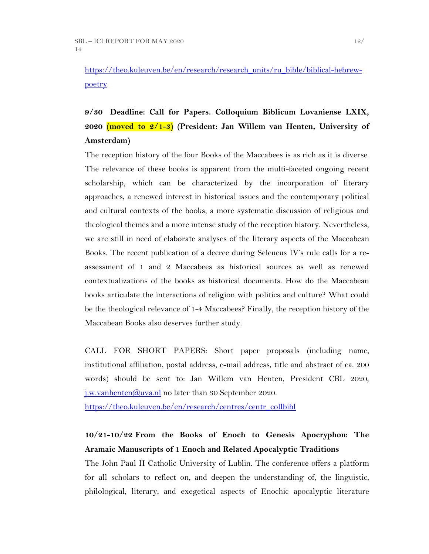# [https://theo.kuleuven.be/en/research/research\\_units/ru\\_bible/biblical-hebrew](https://theo.kuleuven.be/en/research/research_units/ru_bible/biblical-hebrew-poetry)[poetry](https://theo.kuleuven.be/en/research/research_units/ru_bible/biblical-hebrew-poetry)

# **9/30 Deadline: Call for Papers. Colloquium Biblicum Lovaniense LXIX, 2020 (moved to 2/1-3) (President: Jan Willem van Henten, University of Amsterdam)**

The reception history of the four Books of the Maccabees is as rich as it is diverse. The relevance of these books is apparent from the multi-faceted ongoing recent scholarship, which can be characterized by the incorporation of literary approaches, a renewed interest in historical issues and the contemporary political and cultural contexts of the books, a more systematic discussion of religious and theological themes and a more intense study of the reception history. Nevertheless, we are still in need of elaborate analyses of the literary aspects of the Maccabean Books. The recent publication of a decree during Seleucus IV's rule calls for a reassessment of 1 and 2 Maccabees as historical sources as well as renewed contextualizations of the books as historical documents. How do the Maccabean books articulate the interactions of religion with politics and culture? What could be the theological relevance of 1-4 Maccabees? Finally, the reception history of the Maccabean Books also deserves further study.

CALL FOR SHORT PAPERS: Short paper proposals (including name, institutional affiliation, postal address, e-mail address, title and abstract of ca. 200 words) should be sent to: Jan Willem van Henten, President CBL 2020, j.w.vanhenten $\omega$ uva.nl no later than 30 September 2020.

[https://theo.kuleuven.be/en/research/centres/centr\\_collbibl](https://theo.kuleuven.be/en/research/centres/centr_collbibl)

# **10/21-10/22 From the Books of Enoch to Genesis Apocryphon: The Aramaic Manuscripts of 1 Enoch and Related Apocalyptic Traditions**

The John Paul II Catholic University of Lublin. The conference offers a platform for all scholars to reflect on, and deepen the understanding of, the linguistic, philological, literary, and exegetical aspects of Enochic apocalyptic literature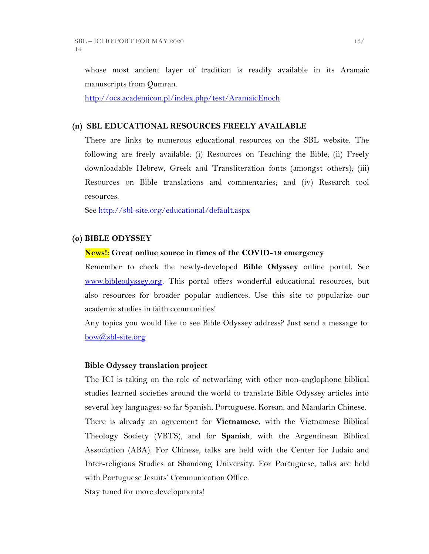whose most ancient layer of tradition is readily available in its Aramaic manuscripts from Qumran.

<http://ocs.academicon.pl/index.php/test/AramaicEnoch>

#### **(n) SBL EDUCATIONAL RESOURCES FREELY AVAILABLE**

There are links to numerous educational resources on the SBL website. The following are freely available: (i) Resources on Teaching the Bible; (ii) Freely downloadable Hebrew, Greek and Transliteration fonts (amongst others); (iii) Resources on Bible translations and commentaries; and (iv) Research tool resources.

See<http://sbl-site.org/educational/default.aspx>

#### **(o) BIBLE ODYSSEY**

#### **News!: Great online source in times of the COVID-19 emergency**

Remember to check the newly-developed **Bible Odyssey** online portal. See [www.bibleodyssey.org.](http://www.bibleodyssey.org/) This portal offers wonderful educational resources, but also resources for broader popular audiences. Use this site to popularize our academic studies in faith communities!

Any topics you would like to see Bible Odyssey address? Just send a message to: [bow@sbl-site.org](mailto:bow@sbl-site.org)

#### **Bible Odyssey translation project**

The ICI is taking on the role of networking with other non-anglophone biblical studies learned societies around the world to translate Bible Odyssey articles into several key languages: so far Spanish, Portuguese, Korean, and Mandarin Chinese. There is already an agreement for **Vietnamese**, with the Vietnamese Biblical Theology Society (VBTS), and for **Spanish**, with the Argentinean Biblical Association (ABA). For Chinese, talks are held with the Center for Judaic and Inter-religious Studies at Shandong University. For Portuguese, talks are held with Portuguese Jesuits' Communication Office.

Stay tuned for more developments!